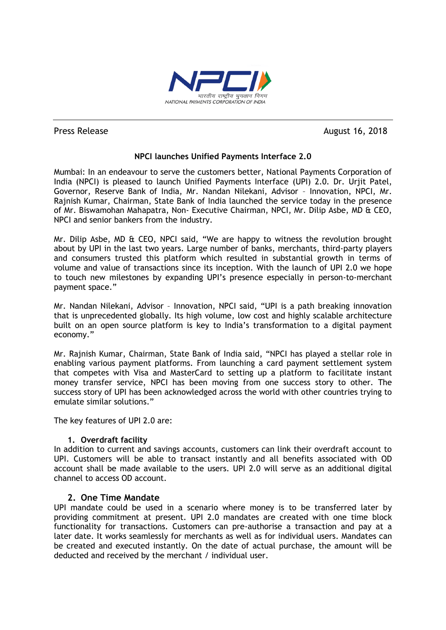

Press Release August 16, 2018

# **NPCI launches Unified Payments Interface 2.0**

Mumbai: In an endeavour to serve the customers better, National Payments Corporation of India (NPCI) is pleased to launch Unified Payments Interface (UPI) 2.0. Dr. Urjit Patel, Governor, Reserve Bank of India, Mr. Nandan Nilekani, Advisor – Innovation, NPCI, Mr. Rajnish Kumar, Chairman, State Bank of India launched the service today in the presence of Mr. Biswamohan Mahapatra, Non- Executive Chairman, NPCI, Mr. Dilip Asbe, MD & CEO, NPCI and senior bankers from the industry.

Mr. Dilip Asbe, MD & CEO, NPCI said, "We are happy to witness the revolution brought about by UPI in the last two years. Large number of banks, merchants, third-party players and consumers trusted this platform which resulted in substantial growth in terms of volume and value of transactions since its inception. With the launch of UPI 2.0 we hope to touch new milestones by expanding UPI's presence especially in person-to-merchant payment space."

Mr. Nandan Nilekani, Advisor – Innovation, NPCI said, "UPI is a path breaking innovation that is unprecedented globally. Its high volume, low cost and highly scalable architecture built on an open source platform is key to India's transformation to a digital payment economy."

Mr. Rajnish Kumar, Chairman, State Bank of India said, "NPCI has played a stellar role in enabling various payment platforms. From launching a card payment settlement system that competes with Visa and MasterCard to setting up a platform to facilitate instant money transfer service, NPCI has been moving from one success story to other. The success story of UPI has been acknowledged across the world with other countries trying to emulate similar solutions."

The key features of UPI 2.0 are:

## **1. Overdraft facility**

In addition to current and savings accounts, customers can link their overdraft account to UPI. Customers will be able to transact instantly and all benefits associated with OD account shall be made available to the users. UPI 2.0 will serve as an additional digital channel to access OD account.

## **2. One Time Mandate**

UPI mandate could be used in a scenario where money is to be transferred later by providing commitment at present. UPI 2.0 mandates are created with one time block functionality for transactions. Customers can pre-authorise a transaction and pay at a later date. It works seamlessly for merchants as well as for individual users. Mandates can be created and executed instantly. On the date of actual purchase, the amount will be deducted and received by the merchant / individual user.